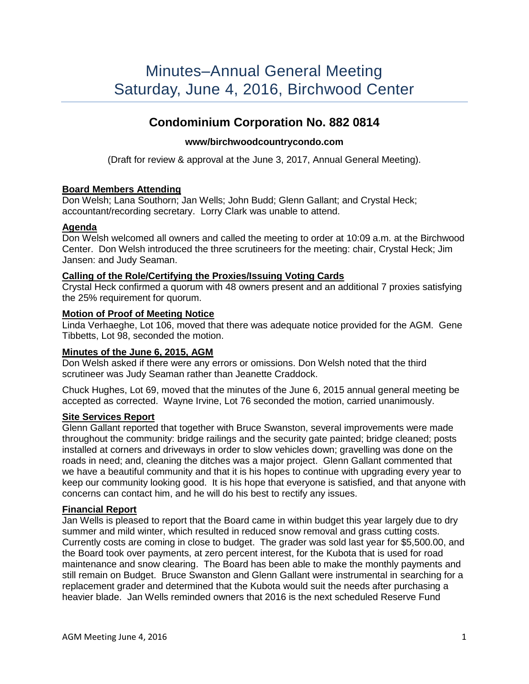# **Condominium Corporation No. 882 0814**

# **www/birchwoodcountrycondo.com**

(Draft for review & approval at the June 3, 2017, Annual General Meeting).

# **Board Members Attending**

Don Welsh; Lana Southorn; Jan Wells; John Budd; Glenn Gallant; and Crystal Heck; accountant/recording secretary. Lorry Clark was unable to attend.

# **Agenda**

Don Welsh welcomed all owners and called the meeting to order at 10:09 a.m. at the Birchwood Center. Don Welsh introduced the three scrutineers for the meeting: chair, Crystal Heck; Jim Jansen: and Judy Seaman.

#### **Calling of the Role/Certifying the Proxies/Issuing Voting Cards**

Crystal Heck confirmed a quorum with 48 owners present and an additional 7 proxies satisfying the 25% requirement for quorum.

#### **Motion of Proof of Meeting Notice**

Linda Verhaeghe, Lot 106, moved that there was adequate notice provided for the AGM. Gene Tibbetts, Lot 98, seconded the motion.

# **Minutes of the June 6, 2015, AGM**

Don Welsh asked if there were any errors or omissions. Don Welsh noted that the third scrutineer was Judy Seaman rather than Jeanette Craddock.

Chuck Hughes, Lot 69, moved that the minutes of the June 6, 2015 annual general meeting be accepted as corrected. Wayne Irvine, Lot 76 seconded the motion, carried unanimously.

# **Site Services Report**

Glenn Gallant reported that together with Bruce Swanston, several improvements were made throughout the community: bridge railings and the security gate painted; bridge cleaned; posts installed at corners and driveways in order to slow vehicles down; gravelling was done on the roads in need; and, cleaning the ditches was a major project. Glenn Gallant commented that we have a beautiful community and that it is his hopes to continue with upgrading every year to keep our community looking good. It is his hope that everyone is satisfied, and that anyone with concerns can contact him, and he will do his best to rectify any issues.

# **Financial Report**

Jan Wells is pleased to report that the Board came in within budget this year largely due to dry summer and mild winter, which resulted in reduced snow removal and grass cutting costs. Currently costs are coming in close to budget. The grader was sold last year for \$5,500.00, and the Board took over payments, at zero percent interest, for the Kubota that is used for road maintenance and snow clearing. The Board has been able to make the monthly payments and still remain on Budget. Bruce Swanston and Glenn Gallant were instrumental in searching for a replacement grader and determined that the Kubota would suit the needs after purchasing a heavier blade. Jan Wells reminded owners that 2016 is the next scheduled Reserve Fund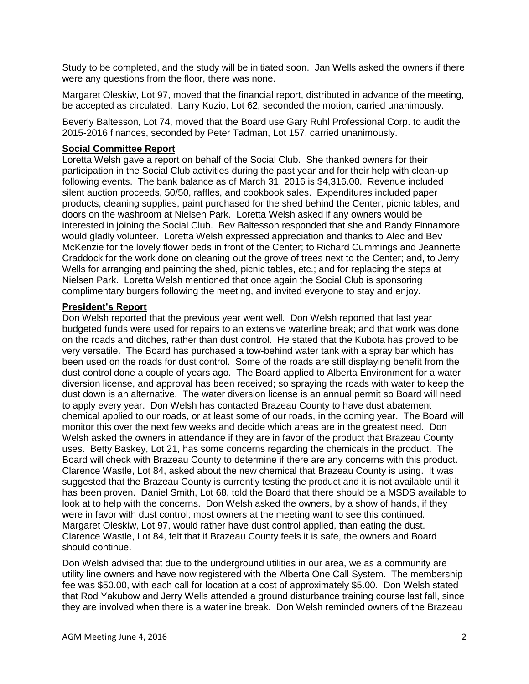Study to be completed, and the study will be initiated soon. Jan Wells asked the owners if there were any questions from the floor, there was none.

Margaret Oleskiw, Lot 97, moved that the financial report, distributed in advance of the meeting, be accepted as circulated. Larry Kuzio, Lot 62, seconded the motion, carried unanimously.

Beverly Baltesson, Lot 74, moved that the Board use Gary Ruhl Professional Corp. to audit the 2015-2016 finances, seconded by Peter Tadman, Lot 157, carried unanimously.

#### **Social Committee Report**

Loretta Welsh gave a report on behalf of the Social Club. She thanked owners for their participation in the Social Club activities during the past year and for their help with clean-up following events. The bank balance as of March 31, 2016 is \$4,316.00. Revenue included silent auction proceeds, 50/50, raffles, and cookbook sales. Expenditures included paper products, cleaning supplies, paint purchased for the shed behind the Center, picnic tables, and doors on the washroom at Nielsen Park. Loretta Welsh asked if any owners would be interested in joining the Social Club. Bev Baltesson responded that she and Randy Finnamore would gladly volunteer. Loretta Welsh expressed appreciation and thanks to Alec and Bev McKenzie for the lovely flower beds in front of the Center; to Richard Cummings and Jeannette Craddock for the work done on cleaning out the grove of trees next to the Center; and, to Jerry Wells for arranging and painting the shed, picnic tables, etc.; and for replacing the steps at Nielsen Park. Loretta Welsh mentioned that once again the Social Club is sponsoring complimentary burgers following the meeting, and invited everyone to stay and enjoy.

#### **President's Report**

Don Welsh reported that the previous year went well. Don Welsh reported that last year budgeted funds were used for repairs to an extensive waterline break; and that work was done on the roads and ditches, rather than dust control. He stated that the Kubota has proved to be very versatile. The Board has purchased a tow-behind water tank with a spray bar which has been used on the roads for dust control. Some of the roads are still displaying benefit from the dust control done a couple of years ago. The Board applied to Alberta Environment for a water diversion license, and approval has been received; so spraying the roads with water to keep the dust down is an alternative. The water diversion license is an annual permit so Board will need to apply every year. Don Welsh has contacted Brazeau County to have dust abatement chemical applied to our roads, or at least some of our roads, in the coming year. The Board will monitor this over the next few weeks and decide which areas are in the greatest need. Don Welsh asked the owners in attendance if they are in favor of the product that Brazeau County uses. Betty Baskey, Lot 21, has some concerns regarding the chemicals in the product. The Board will check with Brazeau County to determine if there are any concerns with this product. Clarence Wastle, Lot 84, asked about the new chemical that Brazeau County is using. It was suggested that the Brazeau County is currently testing the product and it is not available until it has been proven. Daniel Smith, Lot 68, told the Board that there should be a MSDS available to look at to help with the concerns. Don Welsh asked the owners, by a show of hands, if they were in favor with dust control; most owners at the meeting want to see this continued. Margaret Oleskiw, Lot 97, would rather have dust control applied, than eating the dust. Clarence Wastle, Lot 84, felt that if Brazeau County feels it is safe, the owners and Board should continue.

Don Welsh advised that due to the underground utilities in our area, we as a community are utility line owners and have now registered with the Alberta One Call System. The membership fee was \$50.00, with each call for location at a cost of approximately \$5.00. Don Welsh stated that Rod Yakubow and Jerry Wells attended a ground disturbance training course last fall, since they are involved when there is a waterline break. Don Welsh reminded owners of the Brazeau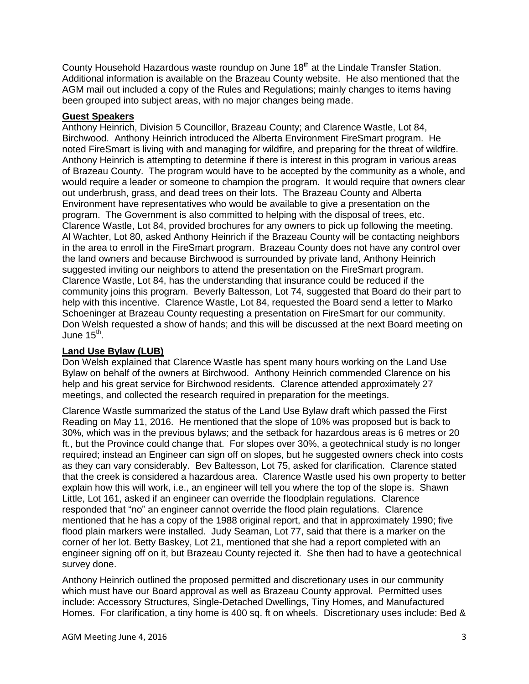County Household Hazardous waste roundup on June 18<sup>th</sup> at the Lindale Transfer Station. Additional information is available on the Brazeau County website. He also mentioned that the AGM mail out included a copy of the Rules and Regulations; mainly changes to items having been grouped into subject areas, with no major changes being made.

### **Guest Speakers**

Anthony Heinrich, Division 5 Councillor, Brazeau County; and Clarence Wastle, Lot 84, Birchwood. Anthony Heinrich introduced the Alberta Environment FireSmart program. He noted FireSmart is living with and managing for wildfire, and preparing for the threat of wildfire. Anthony Heinrich is attempting to determine if there is interest in this program in various areas of Brazeau County. The program would have to be accepted by the community as a whole, and would require a leader or someone to champion the program. It would require that owners clear out underbrush, grass, and dead trees on their lots. The Brazeau County and Alberta Environment have representatives who would be available to give a presentation on the program. The Government is also committed to helping with the disposal of trees, etc. Clarence Wastle, Lot 84, provided brochures for any owners to pick up following the meeting. Al Wachter, Lot 80, asked Anthony Heinrich if the Brazeau County will be contacting neighbors in the area to enroll in the FireSmart program. Brazeau County does not have any control over the land owners and because Birchwood is surrounded by private land, Anthony Heinrich suggested inviting our neighbors to attend the presentation on the FireSmart program. Clarence Wastle, Lot 84, has the understanding that insurance could be reduced if the community joins this program. Beverly Baltesson, Lot 74, suggested that Board do their part to help with this incentive. Clarence Wastle, Lot 84, requested the Board send a letter to Marko Schoeninger at Brazeau County requesting a presentation on FireSmart for our community. Don Welsh requested a show of hands; and this will be discussed at the next Board meeting on June 15<sup>th</sup>.

# **Land Use Bylaw (LUB)**

Don Welsh explained that Clarence Wastle has spent many hours working on the Land Use Bylaw on behalf of the owners at Birchwood. Anthony Heinrich commended Clarence on his help and his great service for Birchwood residents. Clarence attended approximately 27 meetings, and collected the research required in preparation for the meetings.

Clarence Wastle summarized the status of the Land Use Bylaw draft which passed the First Reading on May 11, 2016. He mentioned that the slope of 10% was proposed but is back to 30%, which was in the previous bylaws; and the setback for hazardous areas is 6 metres or 20 ft., but the Province could change that. For slopes over 30%, a geotechnical study is no longer required; instead an Engineer can sign off on slopes, but he suggested owners check into costs as they can vary considerably. Bev Baltesson, Lot 75, asked for clarification. Clarence stated that the creek is considered a hazardous area. Clarence Wastle used his own property to better explain how this will work, i.e., an engineer will tell you where the top of the slope is. Shawn Little, Lot 161, asked if an engineer can override the floodplain regulations. Clarence responded that "no" an engineer cannot override the flood plain regulations. Clarence mentioned that he has a copy of the 1988 original report, and that in approximately 1990; five flood plain markers were installed. Judy Seaman, Lot 77, said that there is a marker on the corner of her lot. Betty Baskey, Lot 21, mentioned that she had a report completed with an engineer signing off on it, but Brazeau County rejected it. She then had to have a geotechnical survey done.

Anthony Heinrich outlined the proposed permitted and discretionary uses in our community which must have our Board approval as well as Brazeau County approval. Permitted uses include: Accessory Structures, Single-Detached Dwellings, Tiny Homes, and Manufactured Homes. For clarification, a tiny home is 400 sq. ft on wheels. Discretionary uses include: Bed &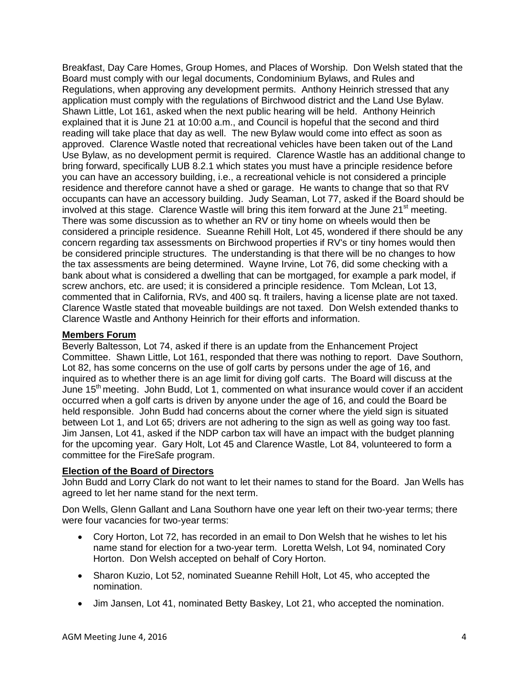Breakfast, Day Care Homes, Group Homes, and Places of Worship. Don Welsh stated that the Board must comply with our legal documents, Condominium Bylaws, and Rules and Regulations, when approving any development permits. Anthony Heinrich stressed that any application must comply with the regulations of Birchwood district and the Land Use Bylaw. Shawn Little, Lot 161, asked when the next public hearing will be held. Anthony Heinrich explained that it is June 21 at 10:00 a.m., and Council is hopeful that the second and third reading will take place that day as well. The new Bylaw would come into effect as soon as approved. Clarence Wastle noted that recreational vehicles have been taken out of the Land Use Bylaw, as no development permit is required. Clarence Wastle has an additional change to bring forward, specifically LUB 8.2.1 which states you must have a principle residence before you can have an accessory building, i.e., a recreational vehicle is not considered a principle residence and therefore cannot have a shed or garage. He wants to change that so that RV occupants can have an accessory building. Judy Seaman, Lot 77, asked if the Board should be involved at this stage. Clarence Wastle will bring this item forward at the June 21<sup>st</sup> meeting. There was some discussion as to whether an RV or tiny home on wheels would then be considered a principle residence. Sueanne Rehill Holt, Lot 45, wondered if there should be any concern regarding tax assessments on Birchwood properties if RV's or tiny homes would then be considered principle structures. The understanding is that there will be no changes to how the tax assessments are being determined. Wayne Irvine, Lot 76, did some checking with a bank about what is considered a dwelling that can be mortgaged, for example a park model, if screw anchors, etc. are used; it is considered a principle residence. Tom Mclean, Lot 13, commented that in California, RVs, and 400 sq. ft trailers, having a license plate are not taxed. Clarence Wastle stated that moveable buildings are not taxed. Don Welsh extended thanks to Clarence Wastle and Anthony Heinrich for their efforts and information.

#### **Members Forum**

Beverly Baltesson, Lot 74, asked if there is an update from the Enhancement Project Committee. Shawn Little, Lot 161, responded that there was nothing to report. Dave Southorn, Lot 82, has some concerns on the use of golf carts by persons under the age of 16, and inquired as to whether there is an age limit for diving golf carts. The Board will discuss at the June 15<sup>th</sup> meeting. John Budd, Lot 1, commented on what insurance would cover if an accident occurred when a golf carts is driven by anyone under the age of 16, and could the Board be held responsible. John Budd had concerns about the corner where the yield sign is situated between Lot 1, and Lot 65; drivers are not adhering to the sign as well as going way too fast. Jim Jansen, Lot 41, asked if the NDP carbon tax will have an impact with the budget planning for the upcoming year. Gary Holt, Lot 45 and Clarence Wastle, Lot 84, volunteered to form a committee for the FireSafe program.

#### **Election of the Board of Directors**

John Budd and Lorry Clark do not want to let their names to stand for the Board. Jan Wells has agreed to let her name stand for the next term.

Don Wells, Glenn Gallant and Lana Southorn have one year left on their two-year terms; there were four vacancies for two-year terms:

- Cory Horton, Lot 72, has recorded in an email to Don Welsh that he wishes to let his name stand for election for a two-year term. Loretta Welsh, Lot 94, nominated Cory Horton. Don Welsh accepted on behalf of Cory Horton.
- Sharon Kuzio, Lot 52, nominated Sueanne Rehill Holt, Lot 45, who accepted the nomination.
- Jim Jansen, Lot 41, nominated Betty Baskey, Lot 21, who accepted the nomination.